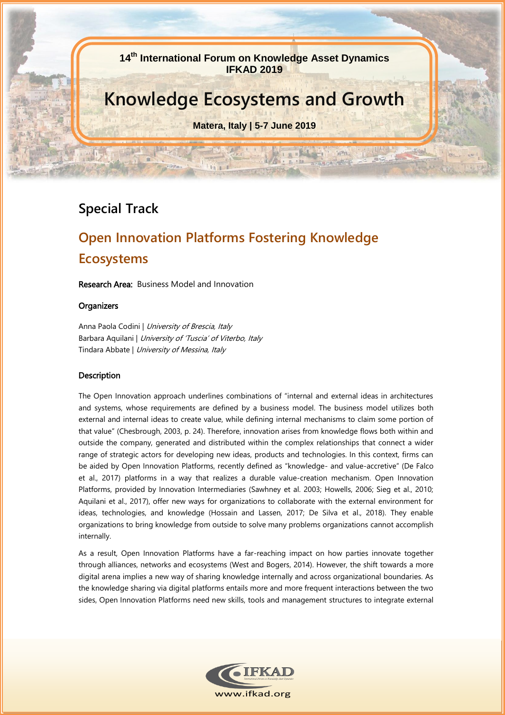**14 th International Forum on Knowledge Asset Dynamics IFKAD 2019**

## **Knowledge Ecosystems and Growth**

**Matera, Italy | 5-7 June 2019**

宣布

### **Special Track**

### **Open Innovation Platforms Fostering Knowledge Ecosystems**

Research Area: Business Model and Innovation

#### **Organizers**

Anna Paola Codini | University of Brescia, Italy Barbara Aquilani | University of 'Tuscia' of Viterbo, Italy Tindara Abbate | University of Messina, Italy

#### Description

The Open Innovation approach underlines combinations of "internal and external ideas in architectures and systems, whose requirements are defined by a business model. The business model utilizes both external and internal ideas to create value, while defining internal mechanisms to claim some portion of that value" (Chesbrough, 2003, p. 24). Therefore, innovation arises from knowledge flows both within and outside the company, generated and distributed within the complex relationships that connect a wider range of strategic actors for developing new ideas, products and technologies. In this context, firms can be aided by Open Innovation Platforms, recently defined as "knowledge- and value-accretive" (De Falco et al., 2017) platforms in a way that realizes a durable value-creation mechanism. Open Innovation Platforms, provided by Innovation Intermediaries (Sawhney et al. 2003; Howells, 2006; Sieg et al., 2010; Aquilani et al., 2017), offer new ways for organizations to collaborate with the external environment for ideas, technologies, and knowledge (Hossain and Lassen, 2017; De Silva et al., 2018). They enable organizations to bring knowledge from outside to solve many problems organizations cannot accomplish internally.

As a result, Open Innovation Platforms have a far-reaching impact on how parties innovate together through alliances, networks and ecosystems (West and Bogers, 2014). However, the shift towards a more digital arena implies a new way of sharing knowledge internally and across organizational boundaries. As the knowledge sharing via digital platforms entails more and more frequent interactions between the two sides, Open Innovation Platforms need new skills, tools and management structures to integrate external

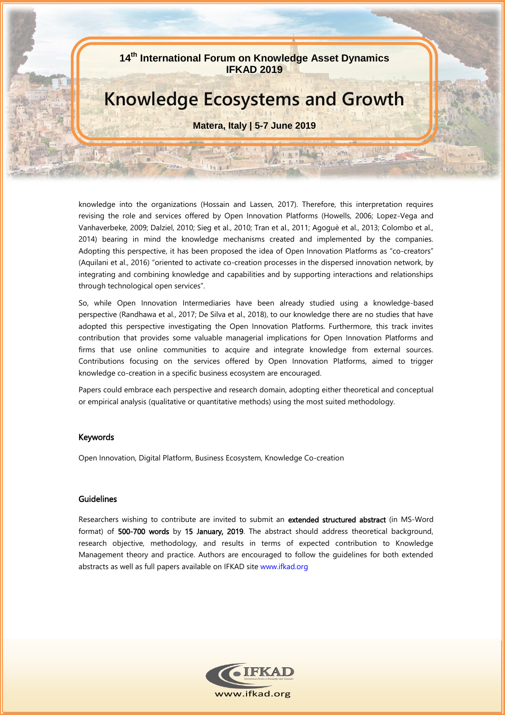**14 th International Forum on Knowledge Asset Dynamics IFKAD 2019**

### **Knowledge Ecosystems and Growth**

**Matera, Italy | 5-7 June 2019**

LEB B

n alberta

**Seven** 

knowledge into the organizations (Hossain and Lassen, 2017). Therefore, this interpretation requires revising the role and services offered by Open Innovation Platforms (Howells, 2006; Lopez-Vega and Vanhaverbeke, 2009; Dalziel, 2010; Sieg et al., 2010; Tran et al., 2011; Agoguè et al., 2013; Colombo et al., 2014) bearing in mind the knowledge mechanisms created and implemented by the companies. Adopting this perspective, it has been proposed the idea of Open Innovation Platforms as "co-creators" (Aquilani et al., 2016) "oriented to activate co-creation processes in the dispersed innovation network, by integrating and combining knowledge and capabilities and by supporting interactions and relationships through technological open services".

So, while Open Innovation Intermediaries have been already studied using a knowledge-based perspective (Randhawa et al., 2017; De Silva et al., 2018), to our knowledge there are no studies that have adopted this perspective investigating the Open Innovation Platforms. Furthermore, this track invites contribution that provides some valuable managerial implications for Open Innovation Platforms and firms that use online communities to acquire and integrate knowledge from external sources. Contributions focusing on the services offered by Open Innovation Platforms, aimed to trigger knowledge co-creation in a specific business ecosystem are encouraged.

Papers could embrace each perspective and research domain, adopting either theoretical and conceptual or empirical analysis (qualitative or quantitative methods) using the most suited methodology.

#### Keywords

Open Innovation, Digital Platform, Business Ecosystem, Knowledge Co-creation

#### Guidelines

Researchers wishing to contribute are invited to submit an extended structured abstract (in MS-Word format) of 500-700 words by 15 January, 2019. The abstract should address theoretical background, research objective, methodology, and results in terms of expected contribution to Knowledge Management theory and practice. Authors are encouraged to follow the guidelines for both extended abstracts as well as full papers available on IFKAD site [www.ifkad.org](http://www.ifkad.org/)